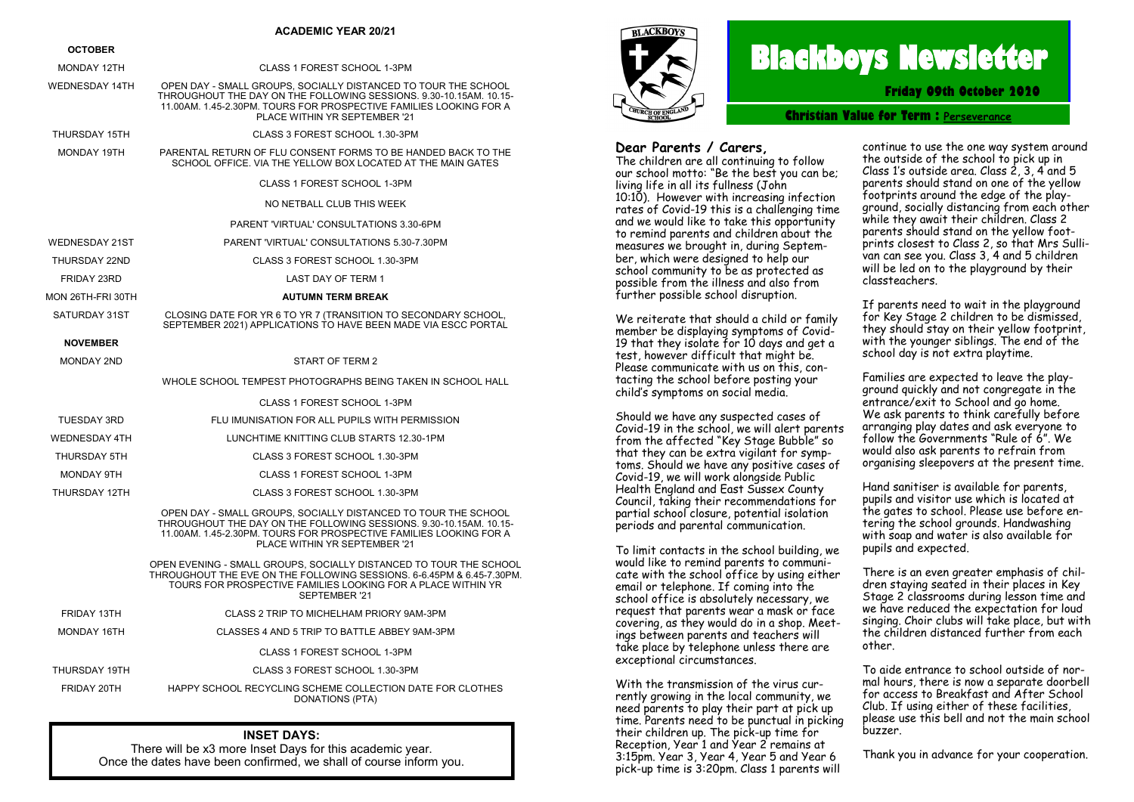### **ACADEMIC YEAR 20/21**

### **OCTOBER**

| <b>UGIUDER</b>        |                                                                                                                                                                                                                                             |  |  |  |
|-----------------------|---------------------------------------------------------------------------------------------------------------------------------------------------------------------------------------------------------------------------------------------|--|--|--|
| <b>MONDAY 12TH</b>    | CLASS 1 FOREST SCHOOL 1-3PM                                                                                                                                                                                                                 |  |  |  |
| <b>WEDNESDAY 14TH</b> | OPEN DAY - SMALL GROUPS, SOCIALLY DISTANCED TO TOUR THE SCHOOL<br>THROUGHOUT THE DAY ON THE FOLLOWING SESSIONS, 9.30-10.15AM, 10.15-<br>11.00AM. 1.45-2.30PM. TOURS FOR PROSPECTIVE FAMILIES LOOKING FOR A<br>PLACE WITHIN YR SEPTEMBER '21 |  |  |  |
| THURSDAY 15TH         | CLASS 3 FOREST SCHOOL 1.30-3PM                                                                                                                                                                                                              |  |  |  |
| MONDAY 19TH           | PARENTAL RETURN OF FLU CONSENT FORMS TO BE HANDED BACK TO THE<br>SCHOOL OFFICE. VIA THE YELLOW BOX LOCATED AT THE MAIN GATES                                                                                                                |  |  |  |
|                       | CLASS 1 FOREST SCHOOL 1-3PM                                                                                                                                                                                                                 |  |  |  |
|                       | NO NETBALL CLUB THIS WEEK                                                                                                                                                                                                                   |  |  |  |
|                       | <b>PARENT 'VIRTUAL' CONSULTATIONS 3.30-6PM</b>                                                                                                                                                                                              |  |  |  |
| <b>WEDNESDAY 21ST</b> | PARENT 'VIRTUAL' CONSULTATIONS 5.30-7.30PM                                                                                                                                                                                                  |  |  |  |
| THURSDAY 22ND         | CLASS 3 FOREST SCHOOL 1.30-3PM                                                                                                                                                                                                              |  |  |  |
| FRIDAY 23RD           | <b>LAST DAY OF TERM 1</b>                                                                                                                                                                                                                   |  |  |  |
| MON 26TH-FRI 30TH     | <b>AUTUMN TERM BREAK</b>                                                                                                                                                                                                                    |  |  |  |
| SATURDAY 31ST         | CLOSING DATE FOR YR 6 TO YR 7 (TRANSITION TO SECONDARY SCHOOL,<br>SEPTEMBER 2021) APPLICATIONS TO HAVE BEEN MADE VIA ESCC PORTAL                                                                                                            |  |  |  |
| <b>NOVEMBER</b>       |                                                                                                                                                                                                                                             |  |  |  |
| <b>MONDAY 2ND</b>     | START OF TERM 2                                                                                                                                                                                                                             |  |  |  |
|                       | WHOLE SCHOOL TEMPEST PHOTOGRAPHS BEING TAKEN IN SCHOOL HALL                                                                                                                                                                                 |  |  |  |
|                       | CLASS 1 FOREST SCHOOL 1-3PM                                                                                                                                                                                                                 |  |  |  |
| <b>TUESDAY 3RD</b>    | FLU IMUNISATION FOR ALL PUPILS WITH PERMISSION                                                                                                                                                                                              |  |  |  |
| <b>WEDNESDAY 4TH</b>  | LUNCHTIME KNITTING CLUB STARTS 12.30-1PM                                                                                                                                                                                                    |  |  |  |
| THURSDAY 5TH          | CLASS 3 FOREST SCHOOL 1.30-3PM                                                                                                                                                                                                              |  |  |  |
| <b>MONDAY 9TH</b>     | CLASS 1 FOREST SCHOOL 1-3PM                                                                                                                                                                                                                 |  |  |  |
| THURSDAY 12TH         | CLASS 3 FOREST SCHOOL 1.30-3PM                                                                                                                                                                                                              |  |  |  |
|                       | OPEN DAY - SMALL GROUPS, SOCIALLY DISTANCED TO TOUR THE SCHOOL<br>THROUGHOUT THE DAY ON THE FOLLOWING SESSIONS. 9.30-10.15AM. 10.15-<br>11.00AM, 1.45-2.30PM, TOURS FOR PROSPECTIVE FAMILIES LOOKING FOR A<br>PLACE WITHIN YR SEPTEMBER '21 |  |  |  |
|                       | OPEN EVENING - SMALL GROUPS, SOCIALLY DISTANCED TO TOUR THE SCHOOL<br>THROUGHOUT THE EVE ON THE FOLLOWING SESSIONS. 6-6.45PM & 6.45-7.30PM.<br>TOURS FOR PROSPECTIVE FAMILIES LOOKING FOR A PLACE WITHIN YR<br>SEPTEMBER '21                |  |  |  |
| FRIDAY 13TH           | CLASS 2 TRIP TO MICHELHAM PRIORY 9AM-3PM                                                                                                                                                                                                    |  |  |  |
| <b>MONDAY 16TH</b>    | CLASSES 4 AND 5 TRIP TO BATTLE ABBEY 9AM-3PM                                                                                                                                                                                                |  |  |  |
|                       | CLASS 1 FOREST SCHOOL 1-3PM                                                                                                                                                                                                                 |  |  |  |
| THURSDAY 19TH         | CLASS 3 FOREST SCHOOL 1.30-3PM                                                                                                                                                                                                              |  |  |  |
|                       |                                                                                                                                                                                                                                             |  |  |  |

FRIDAY 20TH HAPPY SCHOOL RECYCLING SCHEME COLLECTION DATE FOR CLOTHES DONATIONS (PTA)

## **INSET DAYS:**

There will be x3 more Inset Days for this academic year. Once the dates have been confirmed, we shall of course inform you.



# **Blackboys Newsletter**

**Friday 09th October 2020**

**Christian Value for Term : [Perseverance](https://www.google.co.uk/search?safe=strict&q=Perseverance&spell=1&sa=X&ved=0ahUKEwjdufaq38vdAhUHIsAKHUx5DOMQkeECCCgoAA)**

## **Dear Parents / Carers,**

The children are all continuing to follow our school motto: "Be the best you can be; living life in all its fullness (John 10:10). However with increasing infection rates of Covid-19 this is a challenging time and we would like to take this opportunity to remind parents and children about the measures we brought in, during September, which were designed to help our school community to be as protected as possible from the illness and also from further possible school disruption.

We reiterate that should a child or family member be displaying symptoms of Covid-19 that they isolate for 10 days and get a test, however difficult that might be. Please communicate with us on this, contacting the school before posting your child's symptoms on social media.

Should we have any suspected cases of Covid-19 in the school, we will alert parents from the affected "Key Stage Bubble" so that they can be extra vigilant for symptoms. Should we have any positive cases of Covid-19, we will work alongside Public Health England and East Sussex County Council, taking their recommendations for partial school closure, potential isolation periods and parental communication.

To limit contacts in the school building, we would like to remind parents to communicate with the school office by using either email or telephone. If coming into the school office is absolutely necessary, we request that parents wear a mask or face covering, as they would do in a shop. Meetings between parents and teachers will take place by telephone unless there are exceptional circumstances.

With the transmission of the virus currently growing in the local community, we need parents to play their part at pick up time. Parents need to be punctual in picking their children up. The pick-up time for Reception, Year 1 and Year 2 remains at 3:15pm. Year 3, Year 4, Year 5 and Year 6 pick-up time is 3:20pm. Class 1 parents will

continue to use the one way system around the outside of the school to pick up in Class 1's outside area. Class 2, 3, 4 and 5 parents should stand on one of the yellow footprints around the edge of the playground, socially distancing from each other while they await their children. Class 2 parents should stand on the yellow footprints closest to Class 2, so that Mrs Sullivan can see you. Class 3, 4 and 5 children will be led on to the playground by their classteachers.

If parents need to wait in the playground for Key Stage 2 children to be dismissed, they should stay on their yellow footprint, with the younger siblings. The end of the school day is not extra playtime.

Families are expected to leave the playground quickly and not congregate in the entrance/exit to School and go home. We ask parents to think carefully before arranging play dates and ask everyone to follow the Governments "Rule of 6". We would also ask parents to refrain from organising sleepovers at the present time.

Hand sanitiser is available for parents, pupils and visitor use which is located at the gates to school. Please use before entering the school grounds. Handwashing with soap and water is also available for pupils and expected.

There is an even greater emphasis of children staying seated in their places in Key Stage 2 classrooms during lesson time and we have reduced the expectation for loud singing. Choir clubs will take place, but with the children distanced further from each other.

To aide entrance to school outside of normal hours, there is now a separate doorbell for access to Breakfast and After School Club. If using either of these facilities, please use this bell and not the main school buzzer.

Thank you in advance for your cooperation.